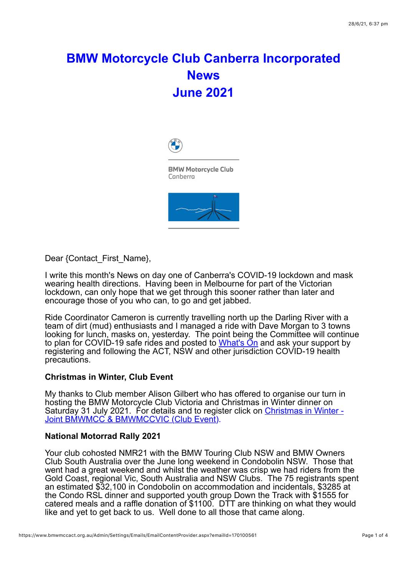# **BMW Motorcycle Club Canberra Incorporated News June 2021**



**BMW Motorcycle Club** Canberra



Dear {Contact\_First\_Name},

I write this month's News on day one of Canberra's COVID-19 lockdown and mask wearing health directions. Having been in Melbourne for part of the Victorian lockdown, can only hope that we get through this sooner rather than later and encourage those of you who can, to go and get jabbed.

Ride Coordinator Cameron is currently travelling north up the Darling River with a team of dirt (mud) enthusiasts and I managed a ride with Dave Morgan to 3 towns looking for lunch, masks on, yesterday. The point being the Committee will continue to plan for COVID-19 safe rides and posted to What's On and ask your support by registering and following the ACT, NSW and other jurisdiction COVID-19 health precautions.

## **Christmas in Winter, Club Event**

My thanks to Club member Alison Gilbert who has offered to organise our turn in hosting the BMW Motorcycle Club Victoria and Christmas in Winter dinner on Saturday 31 July 2021. For details and to register click on Christmas in Winter -Joint BMWMCC & BMWMCCVIC (Club Event).

## **National Motorrad Rally 2021**

Your club cohosted NMR21 with the BMW Touring Club NSW and BMW Owners Club South Australia over the June long weekend in Condobolin NSW. Those that went had a great weekend and whilst the weather was crisp we had riders from the Gold Coast, regional Vic, South Australia and NSW Clubs. The 75 registrants spent an estimated \$32,100 in Condobolin on accommodation and incidentals, \$3285 at the Condo RSL dinner and supported youth group Down the Track with \$1555 for catered meals and a raffle donation of \$1100. DTT are thinking on what they would like and yet to get back to us. Well done to all those that came along.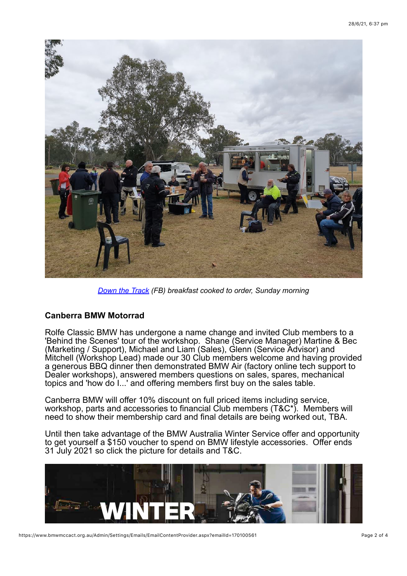

*Down the Track (FB) breakfast cooked to order, Sunday morning*

# **Canberra BMW Motorrad**

Rolfe Classic BMW has undergone a name change and invited Club members to a 'Behind the Scenes' tour of the workshop. Shane (Service Manager) Martine & Bec (Marketing / Support), Michael and Liam (Sales), Glenn (Service Advisor) and Mitchell (Workshop Lead) made our 30 Club members welcome and having provided a generous BBQ dinner then demonstrated BMW Air (factory online tech support to Dealer workshops), answered members questions on sales, spares, mechanical topics and 'how do I...' and offering members first buy on the sales table.

Canberra BMW will offer 10% discount on full priced items including service, workshop, parts and accessories to financial Club members (T&C\*). Members will need to show their membership card and final details are being worked out, TBA.

Until then take advantage of the BMW Australia Winter Service offer and opportunity to get yourself a \$150 voucher to spend on BMW lifestyle accessories. Offer ends 31 July 2021 so click the picture for details and T&C.

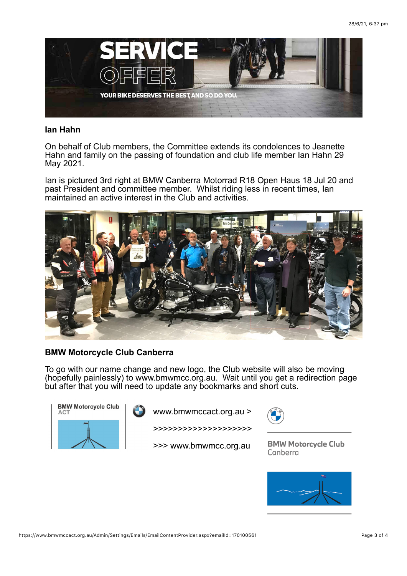

#### **Ian Hahn**

On behalf of Club members, the Committee extends its condolences to Jeanette Hahn and family on the passing of foundation and club life member Ian Hahn 29 May 2021.

Ian is pictured 3rd right at BMW Canberra Motorrad R18 Open Haus 18 Jul 20 and past President and committee member. Whilst riding less in recent times, Ian maintained an active interest in the Club and activities.



# **BMW Motorcycle Club Canberra**

To go with our name change and new logo, the Club website will also be moving (hopefully painlessly) to www.bmwmcc.org.au. Wait until you get a redirection page but after that you will need to update any bookmarks and short cuts.



www.bmwmccact.org.au >

>>>>>>>>>>>>>>>>>>>>

>>> www.bmwmcc.org.au



**BMW Motorcycle Club** Canberra